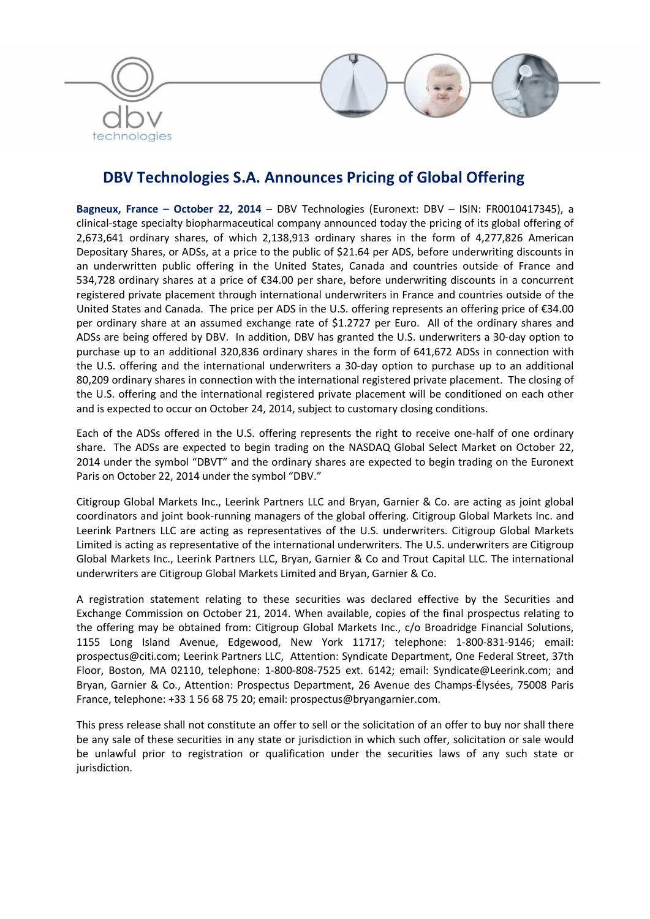

# DBV Technologies S.A. Announces Pricing of Global Offering

Bagneux, France - October 22, 2014 - DBV Technologies (Euronext: DBV - ISIN: FR0010417345), a clinical-stage specialty biopharmaceutical company announced today the pricing of its global offering of 2,673,641 ordinary shares, of which 2,138,913 ordinary shares in the form of 4,277,826 American Depositary Shares, or ADSs, at a price to the public of \$21.64 per ADS, before underwriting discounts in an underwritten public offering in the United States, Canada and countries outside of France and 534,728 ordinary shares at a price of €34.00 per share, before underwriting discounts in a concurrent registered private placement through international underwriters in France and countries outside of the United States and Canada. The price per ADS in the U.S. offering represents an offering price of €34.00 per ordinary share at an assumed exchange rate of \$1.2727 per Euro. All of the ordinary shares and ADSs are being offered by DBV. In addition, DBV has granted the U.S. underwriters a 30-day option to purchase up to an additional 320,836 ordinary shares in the form of 641,672 ADSs in connection with the U.S. offering and the international underwriters a 30-day option to purchase up to an additional 80,209 ordinary shares in connection with the international registered private placement. The closing of the U.S. offering and the international registered private placement will be conditioned on each other and is expected to occur on October 24, 2014, subject to customary closing conditions.

Each of the ADSs offered in the U.S. offering represents the right to receive one-half of one ordinary share. The ADSs are expected to begin trading on the NASDAQ Global Select Market on October 22, 2014 under the symbol "DBVT" and the ordinary shares are expected to begin trading on the Euronext Paris on October 22, 2014 under the symbol "DBV."

Citigroup Global Markets Inc., Leerink Partners LLC and Bryan, Garnier & Co. are acting as joint global coordinators and joint book-running managers of the global offering. Citigroup Global Markets Inc. and Leerink Partners LLC are acting as representatives of the U.S. underwriters. Citigroup Global Markets Limited is acting as representative of the international underwriters. The U.S. underwriters are Citigroup Global Markets Inc., Leerink Partners LLC, Bryan, Garnier & Co and Trout Capital LLC. The international underwriters are Citigroup Global Markets Limited and Bryan, Garnier & Co.

A registration statement relating to these securities was declared effective by the Securities and Exchange Commission on October 21, 2014. When available, copies of the final prospectus relating to the offering may be obtained from: Citigroup Global Markets Inc., c/o Broadridge Financial Solutions, 1155 Long Island Avenue, Edgewood, New York 11717; telephone: 1-800-831-9146; email: prospectus@citi.com; Leerink Partners LLC, Attention: Syndicate Department, One Federal Street, 37th Floor, Boston, MA 02110, telephone: 1-800-808-7525 ext. 6142; email: Syndicate@Leerink.com; and Bryan, Garnier & Co., Attention: Prospectus Department, 26 Avenue des Champs-Élysées, 75008 Paris France, telephone: +33 1 56 68 75 20; email: prospectus@bryangarnier.com.

This press release shall not constitute an offer to sell or the solicitation of an offer to buy nor shall there be any sale of these securities in any state or jurisdiction in which such offer, solicitation or sale would be unlawful prior to registration or qualification under the securities laws of any such state or jurisdiction.